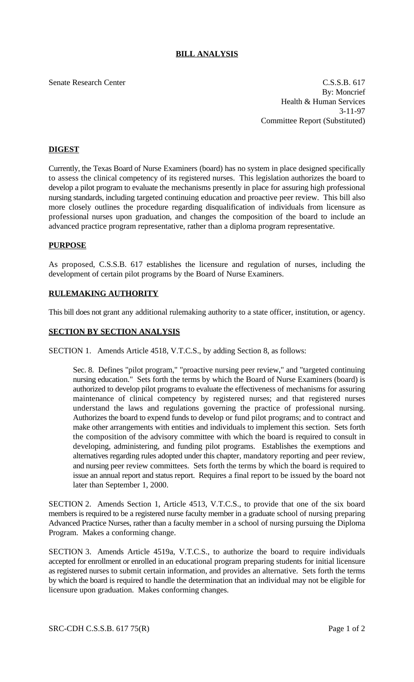# **BILL ANALYSIS**

Senate Research Center C.S.S.B. 617 By: Moncrief Health & Human Services 3-11-97 Committee Report (Substituted)

# **DIGEST**

Currently, the Texas Board of Nurse Examiners (board) has no system in place designed specifically to assess the clinical competency of its registered nurses. This legislation authorizes the board to develop a pilot program to evaluate the mechanisms presently in place for assuring high professional nursing standards, including targeted continuing education and proactive peer review. This bill also more closely outlines the procedure regarding disqualification of individuals from licensure as professional nurses upon graduation, and changes the composition of the board to include an advanced practice program representative, rather than a diploma program representative.

### **PURPOSE**

As proposed, C.S.S.B. 617 establishes the licensure and regulation of nurses, including the development of certain pilot programs by the Board of Nurse Examiners.

## **RULEMAKING AUTHORITY**

This bill does not grant any additional rulemaking authority to a state officer, institution, or agency.

## **SECTION BY SECTION ANALYSIS**

SECTION 1. Amends Article 4518, V.T.C.S., by adding Section 8, as follows:

Sec. 8. Defines "pilot program," "proactive nursing peer review," and "targeted continuing nursing education." Sets forth the terms by which the Board of Nurse Examiners (board) is authorized to develop pilot programs to evaluate the effectiveness of mechanisms for assuring maintenance of clinical competency by registered nurses; and that registered nurses understand the laws and regulations governing the practice of professional nursing. Authorizes the board to expend funds to develop or fund pilot programs; and to contract and make other arrangements with entities and individuals to implement this section. Sets forth the composition of the advisory committee with which the board is required to consult in developing, administering, and funding pilot programs. Establishes the exemptions and alternatives regarding rules adopted under this chapter, mandatory reporting and peer review, and nursing peer review committees. Sets forth the terms by which the board is required to issue an annual report and status report. Requires a final report to be issued by the board not later than September 1, 2000.

SECTION 2. Amends Section 1, Article 4513, V.T.C.S., to provide that one of the six board members is required to be a registered nurse faculty member in a graduate school of nursing preparing Advanced Practice Nurses, rather than a faculty member in a school of nursing pursuing the Diploma Program. Makes a conforming change.

SECTION 3. Amends Article 4519a, V.T.C.S., to authorize the board to require individuals accepted for enrollment or enrolled in an educational program preparing students for initial licensure as registered nurses to submit certain information, and provides an alternative. Sets forth the terms by which the board is required to handle the determination that an individual may not be eligible for licensure upon graduation. Makes conforming changes.